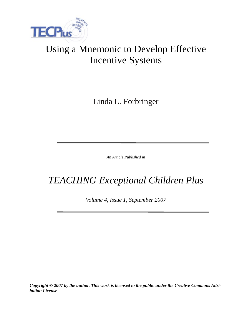

# Using a Mnemonic to Develop Effective Incentive Systems

Linda L. Forbringer

*An Article Published in*

# *TEACHING Exceptional Children Plus*

*Volume 4, Issue 1, September 2007*

*Copyright © 2007 by the author. This work is licensed to the public under the Creative Commons Attribution License*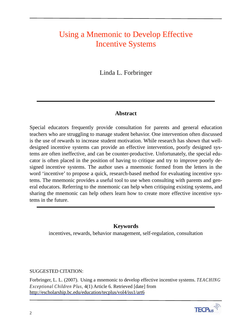# Using a Mnemonic to Develop Effective Incentive Systems

Linda L. Forbringer

# **Abstract**

Special educators frequently provide consultation for parents and general education teachers who are struggling to manage student behavior. One intervention often discussed is the use of rewards to increase student motivation. While research has shown that welldesigned incentive systems can provide an effective intervention, poorly designed systems are often ineffective, and can be counter-productive. Unfortunately, the special educator is often placed in the position of having to critique and try to improve poorly designed incentive systems. The author uses a mnemonic formed from the letters in the word 'incentive' to propose a quick, research-based method for evaluating incentive systems. The mnemonic provides a useful tool to use when consulting with parents and general educators. Referring to the mnemonic can help when critiquing existing systems, and sharing the mnemonic can help others learn how to create more effective incentive systems in the future.

# **Keywords**

incentives, rewards, behavior management, self-regulation, consultation

# SUGGESTED CITATION:

Forbringer, L. L. (2007). Using a mnemonic to develop effective incentive systems. *TEACHING Exceptional Children Plus,* 4(1) Article 6. Retrieved [date] from http://escholarship.bc.edu/education/tecplus/vol4/iss1/art6

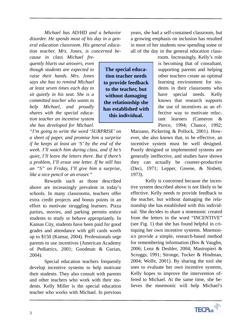*Michael has AD/HD and a behavior disorder. He spends most of his day in a general education classroom. His general education teacher, Mrs. Jones, is concerned be-*

> **The special education teacher needs to provide feedback to the teacher, but without damaging the relationship she has established with this individual.**

*cause in class Michael frequently blurts out answers, even though students are expected to raise their hands. Mrs. Jones says she has to remind Michael at least seven times each day to sit quietly in his seat. She is a committed teacher who wants to help Michael, and proudly shares with the special education teacher an incentive system she has developed for Michael.* 

*"I'm going to write the word 'SURPRISE' on a sheet of paper, and promise him a surprise if he keeps at least an 'S' by the end of the week. I'll watch him during class, and if he's quiet, I'll leave the letters there. But if there's a problem, I'll erase one letter. If he still has an "S" on Friday, I'll give him a surprise, like a nice pencil or an eraser."* 

Rewards such as those described above are increasingly prevalent in today's schools. In many classrooms, teachers offer extra credit projects and bonus points in an effort to motivate struggling learners. Pizza parties, movies, and parking permits entice students to study or behave appropriately. In Kansas City, students have been paid for good grades and attendance with gift cards worth up to \$150 (Kumar, 2004). Professionals urge parents to use incentives (American Academy of Pediatrics, 2001; Goodman & Gurian, 2004).

Special education teachers frequently develop incentive systems to help motivate their students. They also consult with parents and other teachers who work with their students. Kelly Miller is the special education teacher who works with Michael. In previous

years, she had a self-contained classroom, but a growing emphasis on inclusion has resulted in most of her students now spending some or all of the day in the general education class-

room. Increasingly, Kelly's role is becoming that of consultant, supporting parents and helping other teachers create an optimal learning environment for students in their classrooms who have special needs. Kelly knows that research supports the use of incentives as an effective way to motivate reluctant learners (Cameron & Pierce, 1994; Chance, 1992;

Marzano, Pickering & Pollock, 2001). However, she also knows that, to be effective, an incentive system must be well designed. Poorly designed or implemented systems are generally ineffective, and studies have shown they can actually be counter-productive (Deci, 1971; Lepper, Greene, & Nisbett, 1973).

Kelly is concerned because the incentive system described above is not likely to be effective. Kelly needs to provide feedback to the teacher, but without damaging the relationship she has established with this individual. She decides to share a mnemonic created from the letters in the word "INCENTIVE" (see Fig. 1) that she has found helpful in critiquing her own incentive systems. Mnemonics provide a simple, research-based method for remembering information (Bos & Vaughn, 2006; Lenz & Deshler, 2004; Mastropieri & Scruggs, 1991; Stronge, Tucker & Hindman, 2004; Wolfe, 2001). By sharing the tool she uses to evaluate her own incentive systems, Kelly hopes to improve the intervention offered to Michael. At the same time, she believes the mnemonic will help Michael's

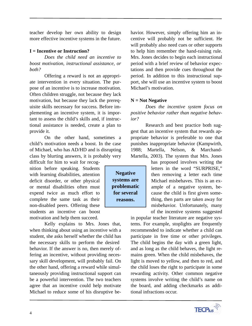teacher develop her own ability to design more effective incentive systems in the future.

# **I = Incentive or Instruction?**

*Does the child need an incentive to boost motivation, instructional assistance, or both?*

Offering a reward is not an appropriate intervention in every situation. The purpose of an incentive is to increase motivation. Often children struggle, not because they lack motivation, but because they lack the prerequisite skills necessary for success. Before implementing an incentive system, it is important to assess the child's skills and, if instructional assistance is needed, create a plan to provide it.

On the other hand, sometimes a child's motivation needs a boost. In the case of Michael, who has AD/HD and is disrupting class by blurting answers, it is probably very

difficult for him to wait for recognition before speaking. Students with learning disabilities, attention deficit disorder, or other physical or mental disabilities often must expend twice as much effort to complete the same task as their non-disabled peers. Offering these students an incentive can boost motivation and help them succeed.

Kelly explains to Mrs. Jones that, when thinking about using an incentive with a student, she asks herself whether the child has the necessary skills to perform the desired behavior. If the answer is no, then merely offering an incentive, without providing necessary skill development, will probably fail. On the other hand, offering a reward while simultaneously providing instructional support can be a powerful intervention. The two teachers agree that an incentive could help motivate Michael to reduce some of his disruptive be-

havior. However, simply offering him an incentive will probably not be sufficient. He will probably also need cues or other supports to help him remember the hand-raising rule. Mrs. Jones decides to begin each instructional period with a brief review of behavior expectations and then provide cues throughout the period. In addition to this instructional support, she will use an incentive system to boost Michael's motivation.

# **N = Not Negative**

*Does the incentive system focus on positive behavior rather than negative behavior?*

Research and best practice both suggest that an incentive system that rewards appropriate behavior is preferable to one that punishes inappropriate behavior (Kampwirth, 1988; Martella, Nelson, & Marchand-Martella, 2003). The system that Mrs. Jones

> thing, then parts are taken away for of the incentive systems suggested

in popular teacher literature are negative systems. For example, stoplights are frequently recommended to indicate whether a child can participate in free time or other privileges. The child begins the day with a green light, and as long as the child behaves, the light remains green. When the child misbehaves, the light is moved to yellow, and then to red, and the child loses the right to participate in some rewarding activity. Other common negative systems involve writing the child's name on the board, and adding checkmarks as additional infractions occur.

has proposed involves writing the letters in the word "SURPRISE," then removing a letter each time Michael misbehaves. This is an example of a negative system, because the child is first given somemisbehavior. Unfortunately, many



**Negative systems are problematic for several reasons.**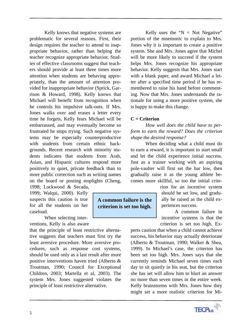Kelly knows that negative systems are problematic for several reasons. First, their design requires the teacher to attend to inappropriate behavior, rather than helping the teacher recognize appropriate behavior. Studies of effective classrooms suggest that teachers should provide at least three times more attention when students are behaving appropriately, than the amount of attention provided for inappropriate behavior (Sprick, Garrison & Howard, 1998). Kelly knows that Michael will benefit from recognition when he controls his impulsive talk-outs. If Mrs. Jones walks over and erases a letter every time he forgets, Kelly fears Michael will be embarrassed, and may eventually become so frustrated he stops trying. Such negative systems may be especially counterproductive with students from certain ethnic backgrounds. Recent research with minority students indicates that students from Arab, Asian, and Hispanic cultures respond more positively to quiet, private feedback than to more public correction such as writing names on the board or posting stoplights (Cheng, 1998; Lockwood & Secada,

1999; Walqui, 2000). Kelly suspects this caution is true for all the students on her caseload.

When selecting interventions, Kelly is also aware

that the principle of least restrictive alternative suggests that teachers must first try the least aversive procedure. More aversive procedures, such as response cost systems, should be used only as a last result after more positive interventions haven tried (Alberto & Troutman, 1990; Council for Exceptional Children, 2003; Martella et al, 2003). The system Mrs. Jones suggested violates the principle of least restrictive alternative.

Kelly uses the " $N = Not Negative"$ portion of the mnemonic to explain to Mrs. Jones why it is important to create a positive system. She and Mrs. Jones agree that Michel will be more likely to succeed if the system helps Mrs. Jones recognize his appropriate behavior. Kelly suggests that Mrs. Jones start with a blank paper, and award Michael a letter after a specified time period if he has remembered to raise his hand before commenting. Now that Mrs. Jones understands the rationale for using a more positive system, she is happy to make this change.

# **C = Criterion**

*How well does the child have to perform to earn the reward? Does the criterion shape the desired response?*

When deciding what a child must do to earn a reward, it is important to start small and let the child experience initial success. Just as a trainer working with an aspiring pole-vaulter will first set the bar low, then gradually raise it as the young athlete becomes more skillful, so too the initial crite-

> rion for an incentive system should be set low, and gradually be raised as the child experiences success.

> A common failure in incentive systems is that the criterion is set too high. Ex-

perts caution that when a child cannot achieve success, his behavior may actually deteriorate (Alberto & Troutman, 1990; Walker & Shea, 1999). In Michael's case, the criterion has been set too high. Mrs. Jones says that she currently reminds Michael seven times each day to sit quietly in his seat, but the criterion she has set will allow him to blurt an answer no more than seven times in the entire week. Kelly brainstorms with Mrs. Jones how they might set a more realistic criterion for Mi-



**A common failure is the criterion is set too high.**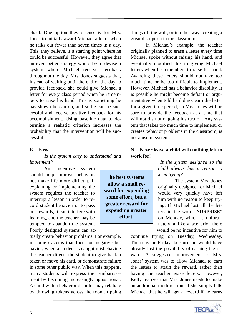chael. One option they discuss is for Mrs. Jones to initially award Michael a letter when he talks out fewer than seven times in a day. This, they believe, is a starting point where he could be successful. However, they agree that an even better strategy would be to devise a system where Michael receives feedback throughout the day. Mrs. Jones suggests that, instead of waiting until the end of the day to provide feedback, she could give Michael a letter for every class period when he remembers to raise his hand. This is something he has shown he can do, and so he can be successful and receive positive feedback for his accomplishment. Using baseline data to determine a realistic criterion increases the probability that the intervention will be successful.

#### **E = Easy**

*Is the system easy to understand and implement?*

An incentive system should help improve behavior, not make life more difficult. If explaining or implementing the system requires the teacher to interrupt a lesson in order to record student behavior or to pass out rewards, it can interfere with learning, and the teacher may be tempted to abandon the system. Poorly designed systems can ac-

tually create behavior problems. For example, in some systems that focus on negative behavior, when a student is caught misbehaving the teacher directs the student to give back a token or move his card, or demonstrate failure in some other public way. When this happens, many students will express their embarrassment by becoming increasingly oppositional. A child with a behavior disorder may retaliate by throwing tokens across the room, ripping

T**he best systems allow a small reward for expending some effort, but a greater reward for expending greater effort.**

things off the wall, or in other ways creating a great disruption in the classroom.

In Michael's example, the teacher originally planned to erase a letter every time Michael spoke without raising his hand, and eventually modified this to giving Michael letters when he remembers to raise his hand. Awarding these letters should not take too much time or be too difficult to implement. However, Michael has a behavior disability. It is possible he might become defiant or argumentative when told he did not earn the letter for a given time period, so Mrs. Jones will be sure to provide the feedback at a time that will not disrupt ongoing instruction. Any system that takes too much time to implement, or creates behavior problems in the classroom, is not a useful system.

# **N = Never leave a child with nothing left to work for!**

*Is the system designed so the child always has a reason to keep trying?*

The system Mrs. Jones originally designed for Michael would very quickly have left him with no reason to keep trying. If Michael lost all the letters in the word "SURPRISE" on Monday, which is unfortunately a likely scenario, there would be no incentive for him to

continue trying on Tuesday, Wednesday, Thursday or Friday, because he would have already lost the possibility of earning the reward. A suggested improvement to Mrs. Jones' system was to allow Michael to earn the letters to attain the reward, rather than having the teacher erase letters. However, Kelly realizes that Mrs. Jones needs to make an additional modification. If she simply tells Michael that he will get a reward if he earns

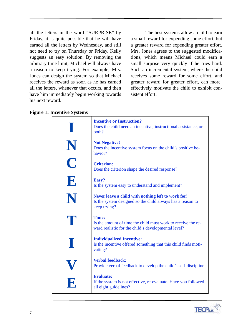all the letters in the word "SURPRISE" by Friday, it is quite possible that he will have earned all the letters by Wednesday, and still not need to try on Thursday or Friday. Kelly suggests an easy solution. By removing the arbitrary time limit, Michael will always have a reason to keep trying. For example, Mrs. Jones can design the system so that Michael receives the reward as soon as he has earned all the letters, whenever that occurs, and then have him immediately begin working towards his next reward.

The best systems allow a child to earn a small reward for expending some effort, but a greater reward for expending greater effort. Mrs. Jones agrees to the suggested modifications, which means Michael could earn a small surprise very quickly if he tries hard. Such an incremental system, where the child receives some reward for some effort, and greater reward for greater effort, can more effectively motivate the child to exhibit consistent effort.

|  | <b>Figure 1: Incentive Systems</b> |  |
|--|------------------------------------|--|
|--|------------------------------------|--|

|             | <b>Incentive or Instruction?</b><br>Does the child need an incentive, instructional assistance, or<br>both?                      |
|-------------|----------------------------------------------------------------------------------------------------------------------------------|
| $\mathbf N$ | <b>Not Negative!</b><br>Does the incentive system focus on the child's positive be-<br>havior?                                   |
| $\mathbf C$ | <b>Criterion:</b><br>Does the criterion shape the desired response?                                                              |
| E           | Easy?<br>Is the system easy to understand and implement?                                                                         |
| N           | Never leave a child with nothing left to work for!<br>Is the system designed so the child always has a reason to<br>keep trying? |
| T           | Time:<br>Is the amount of time the child must work to receive the re-<br>ward realistic for the child's developmental level?     |
|             | <b>Individualized Incentive:</b><br>Is the incentive offered something that this child finds moti-<br>vating?                    |
|             | <b>Verbal feedback:</b><br>Provide verbal feedback to develop the child's self-discipline.                                       |
|             | <b>Evaluate:</b><br>If the system is not effective, re-evaluate. Have you followed<br>all eight guidelines?                      |

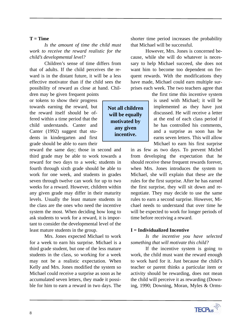#### **T = Time**

*Is the amount of time the child must work to receive the reward realistic for the child's developmental level?*

 Children's sense of time differs from that of adults. If the child perceives the reward is in the distant future, it will be a less effective motivator than if the child sees the possibility of reward as close at hand. Children may be given frequent points

or tokens to show their progress towards earning the reward, but the reward itself should be offered within a time period that the child understands. Canter and Canter (1992) suggest that students in kindergarten and first grade should be able to earn their

reward the same day; those in second and third grade may be able to work towards a reward for two days to a week; students in fourth through sixth grade should be able to work for one week, and students in grades seven through twelve can work for up to two weeks for a reward. However, children within any given grade may differ in their maturity levels. Usually the least mature students in the class are the ones who need the incentive system the most. When deciding how long to ask students to work for a reward, it is important to consider the developmental level of the least mature students in the group.

Mrs. Jones expected Michael to work for a week to earn his surprise. Michael is a third grade student, but one of the less mature students in the class, so working for a week may not be a realistic expectation. When Kelly and Mrs. Jones modified the system so Michael could receive a surprise as soon as he accumulated seven letters, they made it possible for him to earn a reward in two days. The

shorter time period increases the probability that Michael will be successful.

However, Mrs. Jones is concerned because, while she will do whatever is necessary to help Michael succeed, she does not want him to become too dependent on frequent rewards. With the modifications they have made, Michael could earn multiple surprises each week. The two teachers agree that

> the first time this incentive system is used with Michael; it will be implemented as they have just discussed. He will receive a letter at the end of each class period if he has controlled his comments, and a surprise as soon has he earns seven letters. This will allow Michael to earn his first surprise

in as few as two days. To prevent Michel from developing the expectation that he should receive these frequent rewards forever, when Mrs. Jones introduces the system to Michael, she will explain that these are the rules for the first surprise. After he has earned the first surprise, they will sit down and renegotiate. They may decide to use the same rules to earn a second surprise. However, Michael needs to understand that over time he will be expected to work for longer periods of time before receiving a reward.

#### **I = Individualized Incentive**

# *Is the incentive you have selected something that will motivate this child?*

If the incentive system is going to work, the child must want the reward enough to work hard for it. Just because the child's teacher or parent thinks a particular item or activity should be rewarding, does not mean the child will perceive it as rewarding (Downing, 1990; Downing, Moran, Myles & Orms-



**Not all children will be equally motivated by any given incentive.**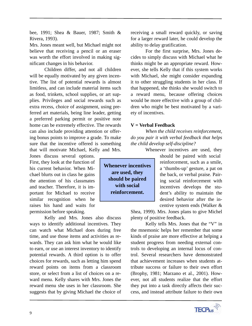bee, 1991; Shea & Bauer, 1987; Smith & Rivera, 1993).

Mrs. Jones meant well, but Michael might not believe that receiving a pencil or an eraser was worth the effort involved in making significant changes in his behavior.

Children differ, and not all children will be equally motivated by any given incentive. The list of potential rewards is almost limitless, and can include material items such as food, trinkets, school supplies, or art supplies. Privileges and social rewards such as extra recess, choice of assignment, using preferred art materials, being line leader, getting a preferred parking permit or positive note home can be extremely effective. The rewards can also include providing attention or offering bonus points to improve a grade. To make sure that the incentive offered is something that will motivate Michael, Kelly and Mrs.

Jones discuss several options. First, they look at the function of his current behavior. When Michael blurts out in class he gains the attention of his classmates and teacher. Therefore, it is important for Michael to receive similar recognition when he raises his hand and waits for permission before speaking.

Kelly and Mrs. Jones also discuss ways to identify additional incentives. They can watch what Michael does during free time, and use those items and activities as rewards. They can ask him what he would like to earn, or use an interest inventory to identify potential rewards. A third option is to offer choices for rewards, such as letting him spend reward points on items from a classroom store, or select from a list of choices on a reward menu. Kelly shares with Mrs. Jones the reward menu she uses in her classroom. She suggests that by giving Michael the choice of receiving a small reward quickly, or saving for a larger reward later, he could develop the ability to delay gratification.

For the first surprise, Mrs. Jones decides to simply discuss with Michael what he thinks might be an appropriate reward. However, she tells Kelly that if this system works with Michael, she might consider expanding it to other struggling students in her class. If that happened, she thinks she would switch to a reward menu, because offering choices would be more effective with a group of children who might be best motivated by a variety of incentives.

#### **V = Verbal Feedback**

*When the child receives reinforcement, do you pair it with verbal feedback that helps the child develop self-discipline?*

Whenever incentives are used, they

should be paired with social reinforcement, such as a smile, a 'thumbs-up' gesture, a pat on the back, or verbal praise. Pairing social reinforcement with incentives develops the student's ability to maintain the desired behavior after the incentive system ends (Walker &

Shea, 1999). Mrs. Jones plans to give Michel plenty of positive feedback.

Kelly tells Mrs. Jones that the "V" in the mnemonic helps her remember that some kinds of praise are more effective at helping a student progress from needing external controls to developing an internal locus of control. Several researchers have demonstrated that achievement increases when students attribute success or failure to their own effort (Brophy, 1981; Marzano et al., 2001). However, not all students realize that the effort they put into a task directly affects their success, and instead attribute failure to their own



**Whenever incentives are used, they should be paired with social reinforcement.**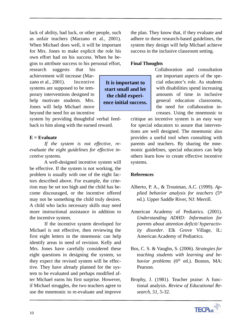lack of ability, bad luck, or other people, such as unfair teachers (Marzano et al., 2001). When Michael does well, it will be important for Mrs. Jones to make explicit the role his own effort had on his success. When he begins to attribute success to his personal effort,

research suggests that his achievement will increase (Marzano et al., 2001). Incentive systems are supposed to be temporary interventions designed to help motivate students. Mrs. Jones will help Michael move beyond the need for an incentive

system by providing thoughtful verbal feedback to him along with the earned reward.

# **E = Evaluate**

*If the system is not effective, reevaluate the eight guidelines for effective incentive systems.*

A well-designed incentive system will be effective. If the system is not working, the problem is usually with one of the eight factors described above. For example, the criterion may be set too high and the child has become discouraged, or the incentive offered may not be something the child truly desires. A child who lacks necessary skills may need more instructional assistance in addition to the incentive system.

If the incentive system developed for Michael is not effective, then reviewing the first eight letters in the mnemonic can help identify areas in need of revision. Kelly and Mrs. Jones have carefully considered these eight questions in designing the system, so they expect the revised system will be effective. They have already planned for the system to be evaluated and perhaps modified after Michael earns his first surprise. However, if Michael struggles, the two teachers agree to use the mnemonic to re-evaluate and improve the plan. They know that, if they evaluate and adhere to these research-based guidelines, the system they design will help Michael achieve success in the inclusive classroom setting.

#### **Final Thoughts**

**It is important to start small and let the child experience initial success.** Collaboration and consultation are important aspects of the special educator's role. As students with disabilities spend increasing amounts of time in inclusive general education classrooms, the need for collaboration increases. Using the mnemonic to

critique an incentive system is an easy way for special educators to assure that interventions are well designed. The mnemonic also provides a useful tool when consulting with parents and teachers. By sharing the mnemonic guidelines, special educators can help others learn how to create effective incentive systems.

# **References**

- Alberto, P. A., & Troutman, A.C. (1999). *Applied behavior analysis for teachers* (5th ed.). Upper Saddle River, NJ: Merrill.
- American Academy of Pediatrics. (2001). *Understanding ADHD: Information for parents about attention deficit/ hyperactivity disorder*. Elk Grove Village, IL: American Academy of Pediatrics.
- Bos, C. S. & Vaughn, S. (2006). *Strategies for teaching students with learning and behavior problems* (6<sup>th</sup> ed.). Boston, MA: Pearson.
- Brophy, J. (1981). Teacher praise: A functional analysis. *Review of Educational Research, 51*, 5-32.

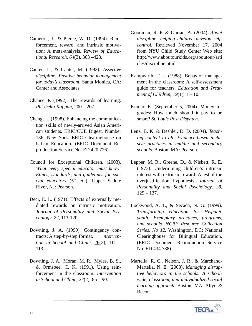- Cameron, J., & Pierce, W. D. (1994). Reinforcement, reward, and intrinsic motivation: A meta-analysis. *Review of Educational Research, 64*(3), 363 –423.
- Canter, L., & Canter, M. (1992). *Assertive discipline: Positive behavior management for today's classroom*. Santa Monica, CA: Canter and Associates.
- Chance, P. (1992). The rewards of learning. *Phi Delta Kappan*, 200 – 207.
- Cheng, L. (1998). Enhancing the communication skills of newly-arrived Asian American students. ERIC/CUE Digest, Number 136. New York: ERIC Clearinghouse on Urban Education. (ERIC Document Reproduction Service No. ED 420 726).
- Council for Exceptional Children. (2003). *What every special educator must know: Ethics, standards, and guidelines for special educators* (5th ed.). Upper Saddle River, NJ: Pearson.
- Deci, E. L. (1971). Effects of externally mediated rewards on intrinsic motivation. *Journal of Personality and Social Psychology, 22*, 113-120.
- Downing, J. A. (1990). Contingency contracts: A step-by-step format. *ntervention in School and Clinic*, 26(2), 111 – 113.
- Downing, J. A., Moran, M. R., Myles, B. S., & Ormsbee, C. K. (1991). Using reinforcement in the classroom. *Intervention in School and Clinic, 27*(2), 85 – 90.
- Goodman, R. F. & Gurian, A. (2004). *About discipline- helping children develop selfcontrol*. Retrieved November 17, 2004 from NYU Child Study Center Web site: http://www.aboutourkids.org/aboutour/arti cles/discipline.html
- Kampwirth, T. J. (1988). Behavior management in the classroom: A self-assessment guide for teachers. *Education and Treatment of Children, 19*(1), 1 – 10.
- Kumar, K. (September 5, 2004). Money for grades: How much should it pay to be smart? *St. Louis Post Dispatch*.
- Lenz, B. K. & Deshler, D. D. (2004). *Teaching content to all: Evidence-based inclusive practices in middle and secondary schools.* Boston, MA: Pearson.
- Lepper, M. R., Greene, D., & Nisbett, R. E. (1973). Undermining children's intrinsic interest with extrinsic reward: A test of the overjustification hypothesis. *Journal of Personality and Social Psychology, 28,*  $129 - 137.$
- Lockwood, A. T., & Secada, N. G. (1999). *Transforming education for Hispanic youth: Exemplary practices, programs, and schools. NCBE Resource Collection Series, No 12.* Washington, DC: National Clearinghouse for Bilingual Education. (ERIC Document Reproduction Service No. ED 434 788)
- Martella, R. C., Nelson, J. R., & Marchand-Martella, N. E. (2003). *Managing disruptive behaviors in the schools: A schoolwide, classroom, and individualized social learning approach*. Boston, MA: Allyn & Bacon.